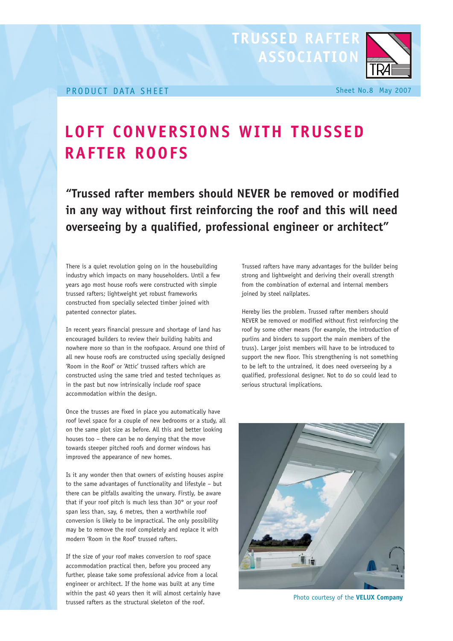## **LOFT CONVERSIONS WITH TRUSSED RAFTER ROOFS**

**"Trussed rafter members should NEVER be removed or modified in any way without first reinforcing the roof and this will need overseeing by a qualified, professional engineer or architect"**

There is a quiet revolution going on in the housebuilding industry which impacts on many householders. Until a few years ago most house roofs were constructed with simple trussed rafters; lightweight yet robust frameworks constructed from specially selected timber joined with patented connector plates.

In recent years financial pressure and shortage of land has encouraged builders to review their building habits and nowhere more so than in the roofspace. Around one third of all new house roofs are constructed using specially designed 'Room in the Roof' or 'Attic' trussed rafters which are constructed using the same tried and tested techniques as in the past but now intrinsically include roof space accommodation within the design.

Once the trusses are fixed in place you automatically have roof level space for a couple of new bedrooms or a study, all on the same plot size as before. All this and better looking houses too – there can be no denying that the move towards steeper pitched roofs and dormer windows has improved the appearance of new homes.

Is it any wonder then that owners of existing houses aspire to the same advantages of functionality and lifestyle – but there can be pitfalls awaiting the unwary. Firstly, be aware that if your roof pitch is much less than 30° or your roof span less than, say, 6 metres, then a worthwhile roof conversion is likely to be impractical. The only possibility may be to remove the roof completely and replace it with modern 'Room in the Roof' trussed rafters.

If the size of your roof makes conversion to roof space accommodation practical then, before you proceed any further, please take some professional advice from a local engineer or architect. If the home was built at any time within the past 40 years then it will almost certainly have trussed rafters as the structural skeleton of the roof.

Trussed rafters have many advantages for the builder being strong and lightweight and deriving their overall strength from the combination of external and internal members joined by steel nailplates.

Hereby lies the problem. Trussed rafter members should NEVER be removed or modified without first reinforcing the roof by some other means (for example, the introduction of purlins and binders to support the main members of the truss). Larger joist members will have to be introduced to support the new floor. This strengthening is not something to be left to the untrained, it does need overseeing by a qualified, professional designer. Not to do so could lead to serious structural implications.



Photo courtesy of the **VELUX Company**